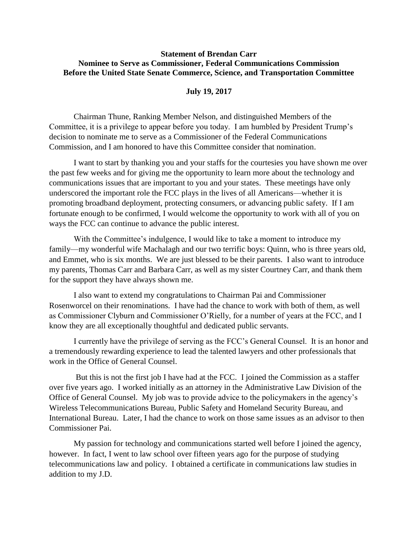## **Statement of Brendan Carr Nominee to Serve as Commissioner, Federal Communications Commission Before the United State Senate Commerce, Science, and Transportation Committee**

## **July 19, 2017**

Chairman Thune, Ranking Member Nelson, and distinguished Members of the Committee, it is a privilege to appear before you today. I am humbled by President Trump's decision to nominate me to serve as a Commissioner of the Federal Communications Commission, and I am honored to have this Committee consider that nomination.

I want to start by thanking you and your staffs for the courtesies you have shown me over the past few weeks and for giving me the opportunity to learn more about the technology and communications issues that are important to you and your states. These meetings have only underscored the important role the FCC plays in the lives of all Americans—whether it is promoting broadband deployment, protecting consumers, or advancing public safety. If I am fortunate enough to be confirmed, I would welcome the opportunity to work with all of you on ways the FCC can continue to advance the public interest.

With the Committee's indulgence, I would like to take a moment to introduce my family—my wonderful wife Machalagh and our two terrific boys: Quinn, who is three years old, and Emmet, who is six months. We are just blessed to be their parents. I also want to introduce my parents, Thomas Carr and Barbara Carr, as well as my sister Courtney Carr, and thank them for the support they have always shown me.

I also want to extend my congratulations to Chairman Pai and Commissioner Rosenworcel on their renominations. I have had the chance to work with both of them, as well as Commissioner Clyburn and Commissioner O'Rielly, for a number of years at the FCC, and I know they are all exceptionally thoughtful and dedicated public servants.

I currently have the privilege of serving as the FCC's General Counsel. It is an honor and a tremendously rewarding experience to lead the talented lawyers and other professionals that work in the Office of General Counsel.

But this is not the first job I have had at the FCC. I joined the Commission as a staffer over five years ago. I worked initially as an attorney in the Administrative Law Division of the Office of General Counsel. My job was to provide advice to the policymakers in the agency's Wireless Telecommunications Bureau, Public Safety and Homeland Security Bureau, and International Bureau. Later, I had the chance to work on those same issues as an advisor to then Commissioner Pai.

My passion for technology and communications started well before I joined the agency, however. In fact, I went to law school over fifteen years ago for the purpose of studying telecommunications law and policy. I obtained a certificate in communications law studies in addition to my J.D.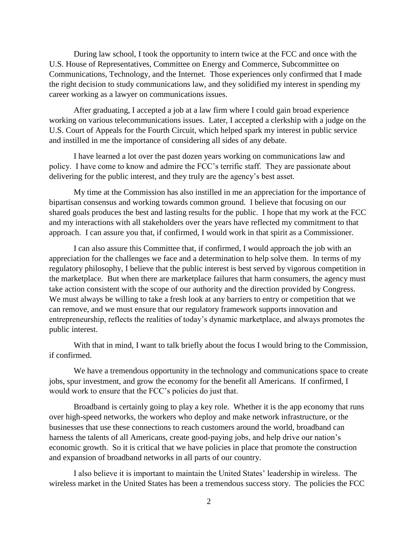During law school, I took the opportunity to intern twice at the FCC and once with the U.S. House of Representatives, Committee on Energy and Commerce, Subcommittee on Communications, Technology, and the Internet. Those experiences only confirmed that I made the right decision to study communications law, and they solidified my interest in spending my career working as a lawyer on communications issues.

After graduating, I accepted a job at a law firm where I could gain broad experience working on various telecommunications issues. Later, I accepted a clerkship with a judge on the U.S. Court of Appeals for the Fourth Circuit, which helped spark my interest in public service and instilled in me the importance of considering all sides of any debate.

I have learned a lot over the past dozen years working on communications law and policy. I have come to know and admire the FCC's terrific staff. They are passionate about delivering for the public interest, and they truly are the agency's best asset.

My time at the Commission has also instilled in me an appreciation for the importance of bipartisan consensus and working towards common ground. I believe that focusing on our shared goals produces the best and lasting results for the public. I hope that my work at the FCC and my interactions with all stakeholders over the years have reflected my commitment to that approach. I can assure you that, if confirmed, I would work in that spirit as a Commissioner.

I can also assure this Committee that, if confirmed, I would approach the job with an appreciation for the challenges we face and a determination to help solve them. In terms of my regulatory philosophy, I believe that the public interest is best served by vigorous competition in the marketplace. But when there are marketplace failures that harm consumers, the agency must take action consistent with the scope of our authority and the direction provided by Congress. We must always be willing to take a fresh look at any barriers to entry or competition that we can remove, and we must ensure that our regulatory framework supports innovation and entrepreneurship, reflects the realities of today's dynamic marketplace, and always promotes the public interest.

With that in mind, I want to talk briefly about the focus I would bring to the Commission, if confirmed.

We have a tremendous opportunity in the technology and communications space to create jobs, spur investment, and grow the economy for the benefit all Americans. If confirmed, I would work to ensure that the FCC's policies do just that.

Broadband is certainly going to play a key role. Whether it is the app economy that runs over high-speed networks, the workers who deploy and make network infrastructure, or the businesses that use these connections to reach customers around the world, broadband can harness the talents of all Americans, create good-paying jobs, and help drive our nation's economic growth. So it is critical that we have policies in place that promote the construction and expansion of broadband networks in all parts of our country.

I also believe it is important to maintain the United States' leadership in wireless. The wireless market in the United States has been a tremendous success story. The policies the FCC